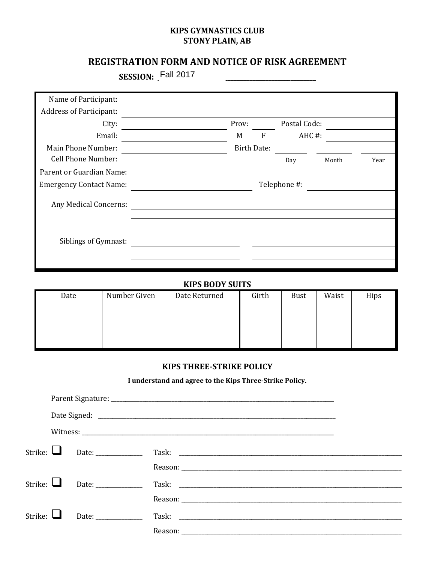# **KIPS GYMNASTICS CLUB STONY PLAIN, AB**

# REGISTRATION FORM AND NOTICE OF RISK AGREEMENT

SESSION: Fall 2017

| Name of Participant:           |  |                    |   |              |       |      |
|--------------------------------|--|--------------------|---|--------------|-------|------|
| <b>Address of Participant:</b> |  |                    |   |              |       |      |
| City:                          |  | Prov:              |   | Postal Code: |       |      |
| Email:                         |  | M                  | F | $AHC \#$ :   |       |      |
| Main Phone Number:             |  | <b>Birth Date:</b> |   |              |       |      |
| Cell Phone Number:             |  |                    |   | Day          | Month | Year |
| Parent or Guardian Name:       |  |                    |   |              |       |      |
| <b>Emergency Contact Name:</b> |  |                    |   | Telephone #: |       |      |
| Any Medical Concerns:          |  |                    |   |              |       |      |
|                                |  |                    |   |              |       |      |
| Siblings of Gymnast:           |  |                    |   |              |       |      |
|                                |  |                    |   |              |       |      |
|                                |  |                    |   |              |       |      |

# **KIPS BODY SUITS**

| Date | Number Given | Date Returned | Girth | Bust | Waist | Hips |
|------|--------------|---------------|-------|------|-------|------|
|      |              |               |       |      |       |      |
|      |              |               |       |      |       |      |
|      |              |               |       |      |       |      |
|      |              |               |       |      |       |      |

# **KIPS THREE-STRIKE POLICY**

I understand and agree to the Kips Three-Strike Policy.

|                | Strike: $\Box$ | Date:                |  |
|----------------|----------------|----------------------|--|
|                |                |                      |  |
| Strike: $\Box$ |                | Date: ______________ |  |
|                |                |                      |  |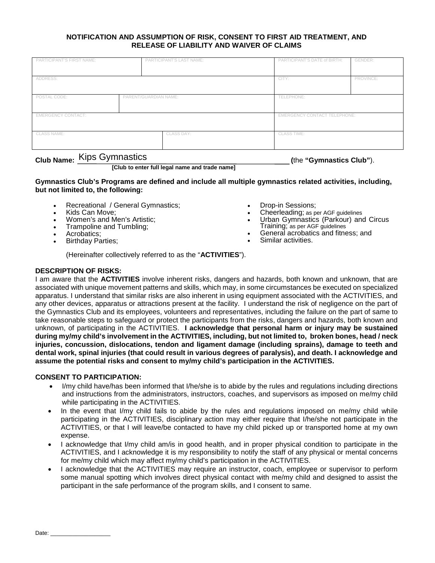## **NOTIFICATION AND ASSUMPTION OF RISK, CONSENT TO FIRST AID TREATMENT, AND RELEASE OF LIABILITY AND WAIVER OF CLAIMS**

| PARTICIPANT'S FIRST NAME:             |  | PARTICIPANT'S LAST NAME: | PARTICIPANT'S DATE of BIRTH:        | GENDER:   |  |
|---------------------------------------|--|--------------------------|-------------------------------------|-----------|--|
|                                       |  |                          |                                     |           |  |
|                                       |  |                          |                                     |           |  |
|                                       |  |                          |                                     |           |  |
| ADDRESS:                              |  |                          | CITY:                               | PROVINCE: |  |
|                                       |  |                          |                                     |           |  |
|                                       |  |                          |                                     |           |  |
|                                       |  |                          |                                     |           |  |
| POSTAL CODE:<br>PARENT/GUARDIAN NAME: |  |                          | TELEPHONE:                          |           |  |
|                                       |  |                          |                                     |           |  |
|                                       |  |                          |                                     |           |  |
|                                       |  |                          |                                     |           |  |
|                                       |  |                          |                                     |           |  |
| <b>EMERGENCY CONTACT:</b>             |  |                          | <b>EMERGENCY CONTACT TELEPHONE:</b> |           |  |
|                                       |  |                          |                                     |           |  |
|                                       |  |                          |                                     |           |  |
|                                       |  |                          |                                     |           |  |
| <b>CLASS NAME:</b>                    |  | CLASS DAY:               | <b>CLASS TIME:</b>                  |           |  |
|                                       |  |                          |                                     |           |  |
|                                       |  |                          |                                     |           |  |
|                                       |  |                          |                                     |           |  |
|                                       |  |                          |                                     |           |  |

# **Club Name: (**the **"Gymnastics Club"**). Kips Gymnastics

**[Club to enter full legal name and trade name]**

**Gymnastics Club's Programs are defined and include all multiple gymnastics related activities, including, but not limited to, the following:** 

- Recreational / General Gymnastics;
- Kids Can Move;
- Women's and Men's Artistic;
- Trampoline and Tumbling;
- Acrobatics;
- **Birthday Parties;**
- Drop-in Sessions;
- Cheerleading; as per AGF guidelines
- Urban Gymnastics (Parkour) and Circus Training; as per AGF guidelines
- General acrobatics and fitness; and
- Similar activities.

(Hereinafter collectively referred to as the "**ACTIVITIES**").

## **DESCRIPTION OF RISKS:**

I am aware that the **ACTIVITIES** involve inherent risks, dangers and hazards, both known and unknown, that are associated with unique movement patterns and skills, which may, in some circumstances be executed on specialized apparatus. I understand that similar risks are also inherent in using equipment associated with the ACTIVITIES, and any other devices, apparatus or attractions present at the facility. I understand the risk of negligence on the part of the Gymnastics Club and its employees, volunteers and representatives, including the failure on the part of same to take reasonable steps to safeguard or protect the participants from the risks, dangers and hazards, both known and unknown, of participating in the ACTIVITIES. **I acknowledge that personal harm or injury may be sustained during my/my child's involvement in the ACTIVITIES, including, but not limited to, broken bones, head / neck injuries, concussion, dislocations, tendon and ligament damage (including sprains), damage to teeth and dental work, spinal injuries (that could result in various degrees of paralysis), and death. I acknowledge and assume the potential risks and consent to my/my child's participation in the ACTIVITIES.**

## **CONSENT TO PARTICIPATION:**

- I/my child have/has been informed that I/he/she is to abide by the rules and regulations including directions and instructions from the administrators, instructors, coaches, and supervisors as imposed on me/my child while participating in the ACTIVITIES.
- In the event that I/my child fails to abide by the rules and regulations imposed on me/my child while participating in the ACTIVITIES, disciplinary action may either require that I/he/she not participate in the ACTIVITIES, or that I will leave/be contacted to have my child picked up or transported home at my own expense.
- I acknowledge that I/my child am/is in good health, and in proper physical condition to participate in the ACTIVITIES, and I acknowledge it is my responsibility to notify the staff of any physical or mental concerns for me/my child which may affect my/my child's participation in the ACTIVITIES.
- I acknowledge that the ACTIVITIES may require an instructor, coach, employee or supervisor to perform some manual spotting which involves direct physical contact with me/my child and designed to assist the participant in the safe performance of the program skills, and I consent to same.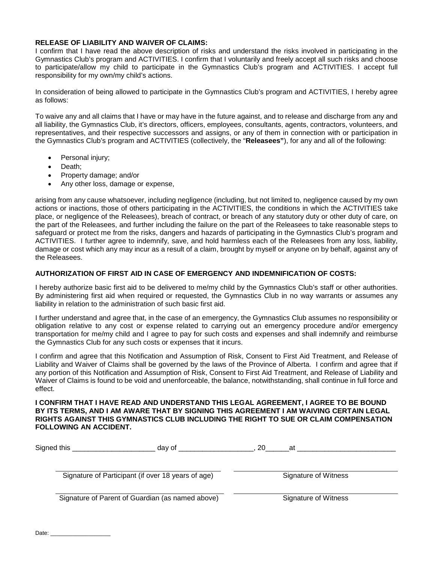## **RELEASE OF LIABILITY AND WAIVER OF CLAIMS:**

I confirm that I have read the above description of risks and understand the risks involved in participating in the Gymnastics Club's program and ACTIVITIES. I confirm that I voluntarily and freely accept all such risks and choose to participate/allow my child to participate in the Gymnastics Club's program and ACTIVITIES. I accept full responsibility for my own/my child's actions.

In consideration of being allowed to participate in the Gymnastics Club's program and ACTIVITIES, I hereby agree as follows:

To waive any and all claims that I have or may have in the future against, and to release and discharge from any and all liability, the Gymnastics Club, it's directors, officers, employees, consultants, agents, contractors, volunteers, and representatives, and their respective successors and assigns, or any of them in connection with or participation in the Gymnastics Club's program and ACTIVITIES (collectively, the "**Releasees"**), for any and all of the following:

- Personal injury;
- Death:
- Property damage; and/or
- Any other loss, damage or expense,

arising from any cause whatsoever, including negligence (including, but not limited to, negligence caused by my own actions or inactions, those of others participating in the ACTIVITIES, the conditions in which the ACTIVITIES take place, or negligence of the Releasees), breach of contract, or breach of any statutory duty or other duty of care, on the part of the Releasees, and further including the failure on the part of the Releasees to take reasonable steps to safeguard or protect me from the risks, dangers and hazards of participating in the Gymnastics Club's program and ACTIVITIES. I further agree to indemnify, save, and hold harmless each of the Releasees from any loss, liability, damage or cost which any may incur as a result of a claim, brought by myself or anyone on by behalf, against any of the Releasees.

### **AUTHORIZATION OF FIRST AID IN CASE OF EMERGENCY AND INDEMNIFICATION OF COSTS:**

I hereby authorize basic first aid to be delivered to me/my child by the Gymnastics Club's staff or other authorities. By administering first aid when required or requested, the Gymnastics Club in no way warrants or assumes any liability in relation to the administration of such basic first aid.

I further understand and agree that, in the case of an emergency, the Gymnastics Club assumes no responsibility or obligation relative to any cost or expense related to carrying out an emergency procedure and/or emergency transportation for me/my child and I agree to pay for such costs and expenses and shall indemnify and reimburse the Gymnastics Club for any such costs or expenses that it incurs.

I confirm and agree that this Notification and Assumption of Risk, Consent to First Aid Treatment, and Release of Liability and Waiver of Claims shall be governed by the laws of the Province of Alberta. I confirm and agree that if any portion of this Notification and Assumption of Risk, Consent to First Aid Treatment, and Release of Liability and Waiver of Claims is found to be void and unenforceable, the balance, notwithstanding, shall continue in full force and effect.

#### **I CONFIRM THAT I HAVE READ AND UNDERSTAND THIS LEGAL AGREEMENT, I AGREE TO BE BOUND BY ITS TERMS, AND I AM AWARE THAT BY SIGNING THIS AGREEMENT I AM WAIVING CERTAIN LEGAL RIGHTS AGAINST THIS GYMNASTICS CLUB INCLUDING THE RIGHT TO SUE OR CLAIM COMPENSATION FOLLOWING AN ACCIDENT.**

| Signed this | dav of                                             | 20<br>at |                      |
|-------------|----------------------------------------------------|----------|----------------------|
|             | Signature of Participant (if over 18 years of age) |          | Signature of Witness |
|             | Signature of Parent of Guardian (as named above)   |          | Signature of Witness |